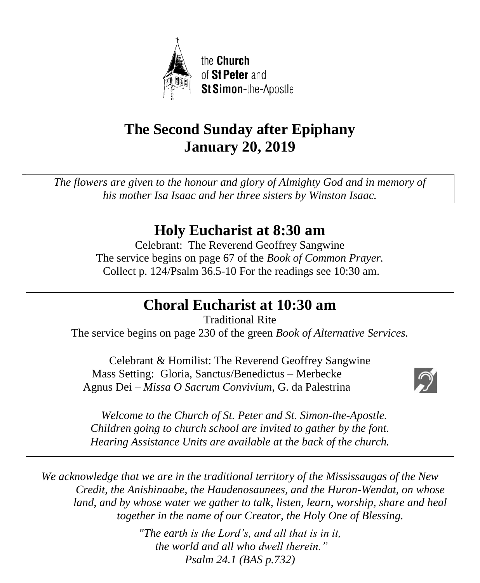

# **The Second Sunday after Epiphany January 20, 2019**

*The flowers are given to the honour and glory of Almighty God and in memory of his mother Isa Isaac and her three sisters by Winston Isaac.*

# **Holy Eucharist at 8:30 am**

Celebrant: The Reverend Geoffrey Sangwine The service begins on page 67 of the *Book of Common Prayer.* Collect p. 124/Psalm 36.5-10 For the readings see 10:30 am.

# **Choral Eucharist at 10:30 am**

Traditional Rite The service begins on page 230 of the green *Book of Alternative Services.*

Celebrant & Homilist: The Reverend Geoffrey Sangwine Mass Setting: Gloria, Sanctus/Benedictus – Merbecke Agnus Dei – *Missa O Sacrum Convivium*, G. da Palestrina



 *Welcome to the Church of St. Peter and St. Simon-the-Apostle. Children going to church school are invited to gather by the font. Hearing Assistance Units are available at the back of the church.*

*We acknowledge that we are in the traditional territory of the Mississaugas of the New Credit, the Anishinaabe, the Haudenosaunees, and the Huron-Wendat, on whose land, and by whose water we gather to talk, listen, learn, worship, share and heal together in the name of our Creator, the Holy One of Blessing.*

> *"The earth is the Lord's, and all that is in it, the world and all who dwell therein." Psalm 24.1 (BAS p.732)*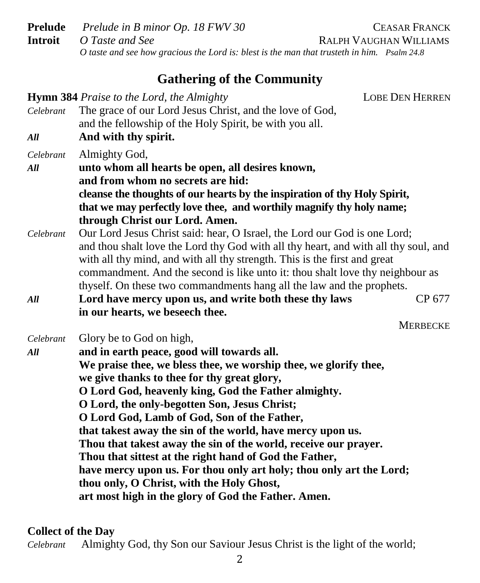**Prelude** *Prelude in B minor Op. 18 FWV 30* CEASAR FRANCK **Introit** *O Taste and See* **RALPH VAUGHAN WILLIAMS**  *O taste and see how gracious the Lord is: blest is the man that trusteth in him. Psalm 24.8*

# **Gathering of the Community**

| Celebrant<br>All | <b>Hymn 384</b> Praise to the Lord, the Almighty<br>The grace of our Lord Jesus Christ, and the love of God,<br>and the fellowship of the Holy Spirit, be with you all.<br>And with thy spirit.                                                                                                                                                                                                                                                                                                                                                                                                                                                                                                                       | <b>LOBE DEN HERREN</b> |
|------------------|-----------------------------------------------------------------------------------------------------------------------------------------------------------------------------------------------------------------------------------------------------------------------------------------------------------------------------------------------------------------------------------------------------------------------------------------------------------------------------------------------------------------------------------------------------------------------------------------------------------------------------------------------------------------------------------------------------------------------|------------------------|
| Celebrant<br>All | Almighty God,<br>unto whom all hearts be open, all desires known,<br>and from whom no secrets are hid:<br>cleanse the thoughts of our hearts by the inspiration of thy Holy Spirit,<br>that we may perfectly love thee, and worthily magnify thy holy name;<br>through Christ our Lord. Amen.                                                                                                                                                                                                                                                                                                                                                                                                                         |                        |
| Celebrant        | Our Lord Jesus Christ said: hear, O Israel, the Lord our God is one Lord;<br>and thou shalt love the Lord thy God with all thy heart, and with all thy soul, and<br>with all thy mind, and with all thy strength. This is the first and great<br>commandment. And the second is like unto it: thou shalt love thy neighbour as<br>thyself. On these two commandments hang all the law and the prophets.                                                                                                                                                                                                                                                                                                               |                        |
| All              | Lord have mercy upon us, and write both these thy laws<br>in our hearts, we beseech thee.                                                                                                                                                                                                                                                                                                                                                                                                                                                                                                                                                                                                                             | CP 677                 |
| Celebrant<br>All | Glory be to God on high,<br>and in earth peace, good will towards all.<br>We praise thee, we bless thee, we worship thee, we glorify thee,<br>we give thanks to thee for thy great glory,<br>O Lord God, heavenly king, God the Father almighty.<br>O Lord, the only-begotten Son, Jesus Christ;<br>O Lord God, Lamb of God, Son of the Father,<br>that takest away the sin of the world, have mercy upon us.<br>Thou that takest away the sin of the world, receive our prayer.<br>Thou that sittest at the right hand of God the Father,<br>have mercy upon us. For thou only art holy; thou only art the Lord;<br>thou only, O Christ, with the Holy Ghost,<br>art most high in the glory of God the Father. Amen. | <b>MERBECKE</b>        |

### **Collect of the Day**

*Celebrant* Almighty God, thy Son our Saviour Jesus Christ is the light of the world;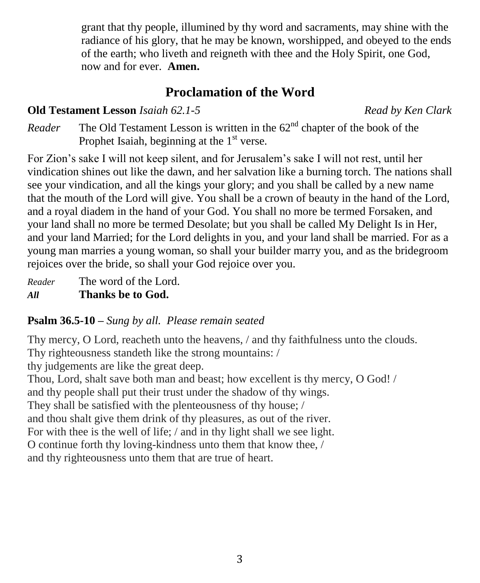grant that thy people, illumined by thy word and sacraments, may shine with the radiance of his glory, that he may be known, worshipped, and obeyed to the ends of the earth; who liveth and reigneth with thee and the Holy Spirit, one God, now and for ever. **Amen.**

# **Proclamation of the Word**

## **Old Testament Lesson** *Isaiah 62.1-5**Read by Ken Clark*

*Reader* The Old Testament Lesson is written in the  $62<sup>nd</sup>$  chapter of the book of the Prophet Isaiah, beginning at the  $1<sup>st</sup>$  verse.

For Zion's sake I will not keep silent, and for Jerusalem's sake I will not rest, until her vindication shines out like the dawn, and her salvation like a burning torch. The nations shall see your vindication, and all the kings your glory; and you shall be called by a new name that the mouth of the Lord will give. You shall be a crown of beauty in the hand of the Lord, and a royal diadem in the hand of your God. You shall no more be termed Forsaken, and your land shall no more be termed Desolate; but you shall be called My Delight Is in Her, and your land Married; for the Lord delights in you, and your land shall be married. For as a young man marries a young woman, so shall your builder marry you, and as the bridegroom rejoices over the bride, so shall your God rejoice over you.

*Reader* The word of the Lord. *All* **Thanks be to God.**

### **Psalm 36.5-10 –** *Sung by all. Please remain seated*

Thy mercy, O Lord, reacheth unto the heavens, / and thy faithfulness unto the clouds. Thy righteousness standeth like the strong mountains: / thy judgements are like the great deep.

Thou, Lord, shalt save both man and beast; how excellent is thy mercy, O God! / and thy people shall put their trust under the shadow of thy wings. They shall be satisfied with the plenteousness of thy house; / and thou shalt give them drink of thy pleasures, as out of the river. For with thee is the well of life; / and in thy light shall we see light. O continue forth thy loving-kindness unto them that know thee, / and thy righteousness unto them that are true of heart.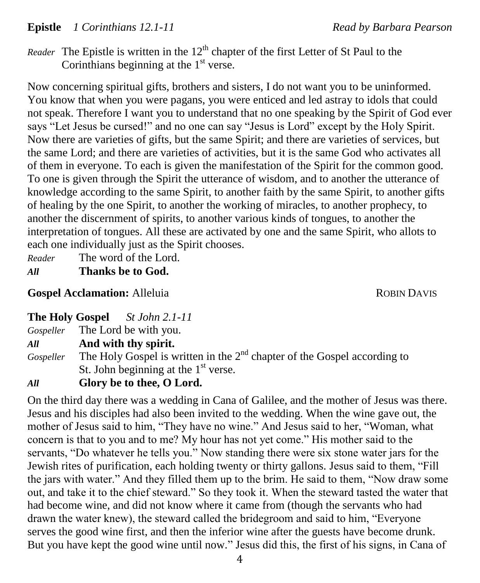### **Epistle** *1 Corinthians 12.1-11* Read by Barbara Pearson

*Reader* The Epistle is written in the  $12<sup>th</sup>$  chapter of the first Letter of St Paul to the Corinthians beginning at the  $1<sup>st</sup>$  verse.

Now concerning spiritual gifts, brothers and sisters, I do not want you to be uninformed. You know that when you were pagans, you were enticed and led astray to idols that could not speak. Therefore I want you to understand that no one speaking by the Spirit of God ever says "Let Jesus be cursed!" and no one can say "Jesus is Lord" except by the Holy Spirit. Now there are varieties of gifts, but the same Spirit; and there are varieties of services, but the same Lord; and there are varieties of activities, but it is the same God who activates all of them in everyone. To each is given the manifestation of the Spirit for the common good. To one is given through the Spirit the utterance of wisdom, and to another the utterance of knowledge according to the same Spirit, to another faith by the same Spirit, to another gifts of healing by the one Spirit, to another the working of miracles, to another prophecy, to another the discernment of spirits, to another various kinds of tongues, to another the interpretation of tongues. All these are activated by one and the same Spirit, who allots to each one individually just as the Spirit chooses.

*Reader* The word of the Lord.

*All* **Thanks be to God.**

### **Gospel Acclamation:** Alleluia *ROBIN DAVIS*

| <b>The Holy Gospel</b> | St John 2.1-11 |
|------------------------|----------------|
|------------------------|----------------|

*Gospeller* The Lord be with you.

*All* **And with thy spirit.**

Gospeller The Holy Gospel is written in the 2<sup>nd</sup> chapter of the Gospel according to St. John beginning at the  $1<sup>st</sup>$  verse.

### *All* **Glory be to thee, O Lord.**

On the third day there was a wedding in Cana of Galilee, and the mother of Jesus was there. Jesus and his disciples had also been invited to the wedding. When the wine gave out, the mother of Jesus said to him, "They have no wine." And Jesus said to her, "Woman, what concern is that to you and to me? My hour has not yet come." His mother said to the servants, "Do whatever he tells you." Now standing there were six stone water jars for the Jewish rites of purification, each holding twenty or thirty gallons. Jesus said to them, "Fill the jars with water." And they filled them up to the brim. He said to them, "Now draw some out, and take it to the chief steward." So they took it. When the steward tasted the water that had become wine, and did not know where it came from (though the servants who had drawn the water knew), the steward called the bridegroom and said to him, "Everyone serves the good wine first, and then the inferior wine after the guests have become drunk. But you have kept the good wine until now." Jesus did this, the first of his signs, in Cana of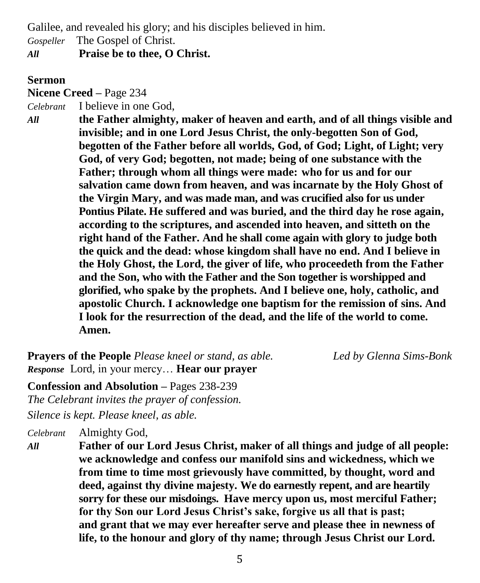Galilee, and revealed his glory; and his disciples believed in him.

*Gospeller* The Gospel of Christ.

*All* **Praise be to thee, O Christ.**

#### **Sermon**

**Nicene Creed –** Page 234

*Celebrant* I believe in one God,

*All* **the Father almighty, maker of heaven and earth, and of all things visible and invisible; and in one Lord Jesus Christ, the only-begotten Son of God, begotten of the Father before all worlds, God, of God; Light, of Light; very God, of very God; begotten, not made; being of one substance with the Father; through whom all things were made: who for us and for our salvation came down from heaven, and was incarnate by the Holy Ghost of the Virgin Mary, and was made man, and was crucified also for us under Pontius Pilate. He suffered and was buried, and the third day he rose again, according to the scriptures, and ascended into heaven, and sitteth on the right hand of the Father. And he shall come again with glory to judge both the quick and the dead: whose kingdom shall have no end. And I believe in the Holy Ghost, the Lord, the giver of life, who proceedeth from the Father and the Son, who with the Father and the Son together is worshipped and glorified, who spake by the prophets. And I believe one, holy, catholic, and apostolic Church. I acknowledge one baptism for the remission of sins. And I look for the resurrection of the dead, and the life of the world to come. Amen.**

**Prayers of the People** *Please kneel or stand, as able. Led by Glenna Sims-Bonk Response* Lord, in your mercy… **Hear our prayer**

**Confession and Absolution –** Pages 238-239 *The Celebrant invites the prayer of confession.*

*Silence is kept. Please kneel, as able.*

*Celebrant* Almighty God,

*All* **Father of our Lord Jesus Christ, maker of all things and judge of all people: we acknowledge and confess our manifold sins and wickedness, which we from time to time most grievously have committed, by thought, word and deed, against thy divine majesty. We do earnestly repent, and are heartily sorry for these our misdoings. Have mercy upon us, most merciful Father; for thy Son our Lord Jesus Christ's sake, forgive us all that is past; and grant that we may ever hereafter serve and please thee in newness of life, to the honour and glory of thy name; through Jesus Christ our Lord.**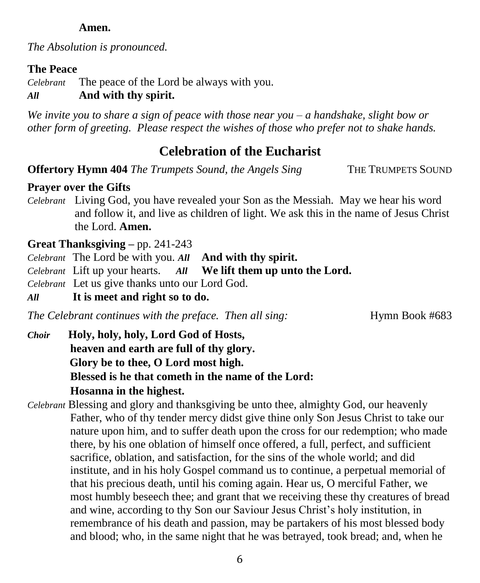### **Amen.**

*The Absolution is pronounced.*

### **The Peace**

*Celebrant* The peace of the Lord be always with you.

# *All* **And with thy spirit.**

*We invite you to share a sign of peace with those near you – a handshake, slight bow or other form of greeting. Please respect the wishes of those who prefer not to shake hands.*

# **Celebration of the Eucharist**

**Offertory Hymn 404** *The Trumpets Sound, the Angels Sing* THE TRUMPETS SOUND

## **Prayer over the Gifts**

*Celebrant* Living God, you have revealed your Son as the Messiah. May we hear his word and follow it, and live as children of light. We ask this in the name of Jesus Christ the Lord. **Amen.**

## **Great Thanksgiving –** pp. 241-243

*Celebrant* The Lord be with you. *All* **And with thy spirit.** 

- *Celebrant* Lift up your hearts. *All* **We lift them up unto the Lord.**
- *Celebrant* Let us give thanks unto our Lord God.

*All* **It is meet and right so to do.**

*The Celebrant continues with the preface. Then all sing:* Hymn Book #683

- *Choir* **Holy, holy, holy, Lord God of Hosts, heaven and earth are full of thy glory. Glory be to thee, O Lord most high. Blessed is he that cometh in the name of the Lord: Hosanna in the highest.**
- *Celebrant* Blessing and glory and thanksgiving be unto thee, almighty God, our heavenly Father, who of thy tender mercy didst give thine only Son Jesus Christ to take our nature upon him, and to suffer death upon the cross for our redemption; who made there, by his one oblation of himself once offered, a full, perfect, and sufficient sacrifice, oblation, and satisfaction, for the sins of the whole world; and did institute, and in his holy Gospel command us to continue, a perpetual memorial of that his precious death, until his coming again. Hear us, O merciful Father, we most humbly beseech thee; and grant that we receiving these thy creatures of bread and wine, according to thy Son our Saviour Jesus Christ's holy institution, in remembrance of his death and passion, may be partakers of his most blessed body and blood; who, in the same night that he was betrayed, took bread; and, when he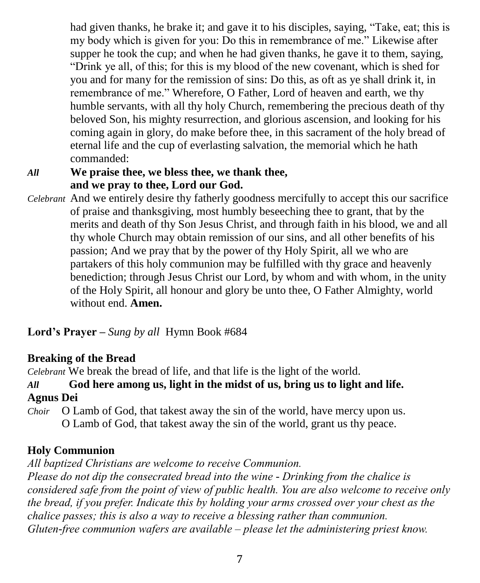had given thanks, he brake it; and gave it to his disciples, saying, "Take, eat; this is my body which is given for you: Do this in remembrance of me." Likewise after supper he took the cup; and when he had given thanks, he gave it to them, saying, "Drink ye all, of this; for this is my blood of the new covenant, which is shed for you and for many for the remission of sins: Do this, as oft as ye shall drink it, in remembrance of me." Wherefore, O Father, Lord of heaven and earth, we thy humble servants, with all thy holy Church, remembering the precious death of thy beloved Son, his mighty resurrection, and glorious ascension, and looking for his coming again in glory, do make before thee, in this sacrament of the holy bread of eternal life and the cup of everlasting salvation, the memorial which he hath commanded:

## *All* **We praise thee, we bless thee, we thank thee, and we pray to thee, Lord our God.**

*Celebrant* And we entirely desire thy fatherly goodness mercifully to accept this our sacrifice of praise and thanksgiving, most humbly beseeching thee to grant, that by the merits and death of thy Son Jesus Christ, and through faith in his blood, we and all thy whole Church may obtain remission of our sins, and all other benefits of his passion; And we pray that by the power of thy Holy Spirit, all we who are partakers of this holy communion may be fulfilled with thy grace and heavenly benediction; through Jesus Christ our Lord, by whom and with whom, in the unity of the Holy Spirit, all honour and glory be unto thee, O Father Almighty, world without end. **Amen.** 

**Lord's Prayer –** *Sung by all*Hymn Book #684

### **Breaking of the Bread**

*Celebrant* We break the bread of life, and that life is the light of the world.

## *All* **God here among us, light in the midst of us, bring us to light and life. Agnus Dei**

*Choir* O Lamb of God, that takest away the sin of the world, have mercy upon us. O Lamb of God, that takest away the sin of the world, grant us thy peace.

# **Holy Communion**

*All baptized Christians are welcome to receive Communion.*

*Please do not dip the consecrated bread into the wine - Drinking from the chalice is considered safe from the point of view of public health. You are also welcome to receive only the bread, if you prefer. Indicate this by holding your arms crossed over your chest as the chalice passes; this is also a way to receive a blessing rather than communion. Gluten-free communion wafers are available – please let the administering priest know.*